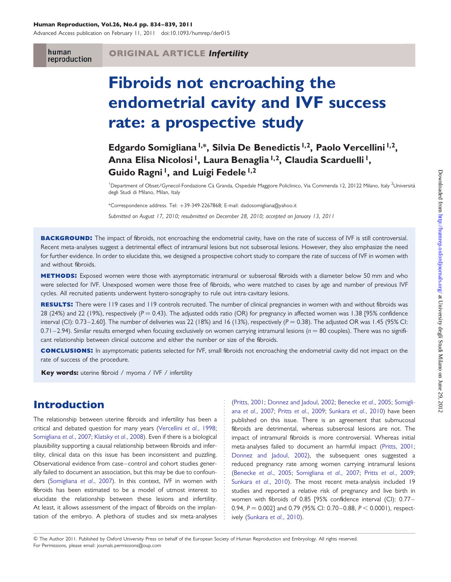#### Human Reproduction, Vol.26, No.4 pp. 834–839, 2011

Advanced Access publication on February 11, 2011 doi:10.1093/humrep/der015

human reproduction

#### ORIGINAL ARTICLE Infertility

# Fibroids not encroaching the endometrial cavity and IVF success rate: a prospective study

Edgardo Somigliana<sup>1,\*</sup>, Silvia De Benedictis<sup>1,2</sup>, Paolo Vercellini<sup>1,2</sup>, Anna Elisa Nicolosi<sup>1</sup>, Laura Benaglia<sup>1,2</sup>, Claudia Scarduelli<sup>1</sup>, Guido Ragni<sup>1</sup>, and Luigi Fedele<sup>1,2</sup>

<sup>1</sup> Department of Obset/Gynecol-Fondazione Cà Granda, Ospedale Maggiore Policlinico, Via Commenda 12, 20122 Milano, Italy <sup>2</sup>Università degli Studi di Milano, Milan, Italy

\*Correspondence address. Tel: +39-349-2267868; E-mail: dadosomigliana@yahoo.it Submitted on August 17, 2010; resubmitted on December 28, 2010; accepted on January 13, 2011

**BACKGROUND:** The impact of fibroids, not encroaching the endometrial cavity, have on the rate of success of IVF is still controversial. Recent meta-analyses suggest a detrimental effect of intramural lesions but not subserosal lesions. However, they also emphasize the need for further evidence. In order to elucidate this, we designed a prospective cohort study to compare the rate of success of IVF in women with and without fibroids.

METHODS: Exposed women were those with asymptomatic intramural or subserosal fibroids with a diameter below 50 mm and who were selected for IVF. Unexposed women were those free of fibroids, who were matched to cases by age and number of previous IVF cycles. All recruited patients underwent hystero-sonography to rule out intra-cavitary lesions.

RESULTS: There were 119 cases and 119 controls recruited. The number of clinical pregnancies in women with and without fibroids was 28 (24%) and 22 (19%), respectively ( $P = 0.43$ ). The adjusted odds ratio (OR) for pregnancy in affected women was 1.38 [95% confidence interval (CI):  $0.73 - 2.60$ ]. The number of deliveries was 22 (18%) and 16 (13%), respectively ( $P = 0.38$ ). The adjusted OR was 1.45 (95% CI:  $0.71 - 2.94$ ). Similar results emerged when focusing exclusively on women carrying intramural lesions ( $n = 80$  couples). There was no significant relationship between clinical outcome and either the number or size of the fibroids.

conclusions: In asymptomatic patients selected for IVF, small fibroids not encroaching the endometrial cavity did not impact on the rate of success of the procedure.

Key words: uterine fibroid / myoma / IVF / infertility

#### Introduction

The relationship between uterine fibroids and infertility has been a critical and debated question for many years [\(Vercellini](#page-5-0) et al., 1998; [Somigliana](#page-5-0) et al., 2007; [Klatsky](#page-5-0) et al., 2008). Even if there is a biological plausibility supporting a causal relationship between fibroids and infertility, clinical data on this issue has been inconsistent and puzzling. Observational evidence from case –control and cohort studies generally failed to document an association, but this may be due to confounders ([Somigliana](#page-5-0) et al., 2007). In this context, IVF in women with fibroids has been estimated to be a model of utmost interest to elucidate the relationship between these lesions and infertility. At least, it allows assessment of the impact of fibroids on the implantation of the embryo. A plethora of studies and six meta-analyses

([Pritts, 2001;](#page-5-0) [Donnez and Jadoul, 2002](#page-5-0); [Benecke](#page-5-0) et al., 2005; [Somigli](#page-5-0)ana et al[., 2007](#page-5-0); Pritts et al[., 2009](#page-5-0); [Sunkara](#page-5-0) et al., 2010) have been published on this issue. There is an agreement that submucosal fibroids are detrimental, whereas subserosal lesions are not. The impact of intramural fibroids is more controversial. Whereas initial meta-analyses failed to document an harmful impact ([Pritts, 2001;](#page-5-0) [Donnez and Jadoul, 2002\)](#page-5-0), the subsequent ones suggested a reduced pregnancy rate among women carrying intramural lesions ([Benecke](#page-5-0) et al., 2005; [Somigliana](#page-5-0) et al., 2007; Pritts et al[., 2009;](#page-5-0) [Sunkara](#page-5-0) et al., 2010). The most recent meta-analysis included 19 studies and reported a relative risk of pregnancy and live birth in women with fibroids of 0.85 [95% confidence interval (CI): 0.77– 0.94,  $P = 0.002$ ] and 0.79 (95% CI: 0.70 – 0.88,  $P < 0.0001$ ), respectively ([Sunkara](#page-5-0) et al., 2010).

& The Author 2011. Published by Oxford University Press on behalf of the European Society of Human Reproduction and Embryology. All rights reserved. For Permissions, please email: journals.permissions@oup.com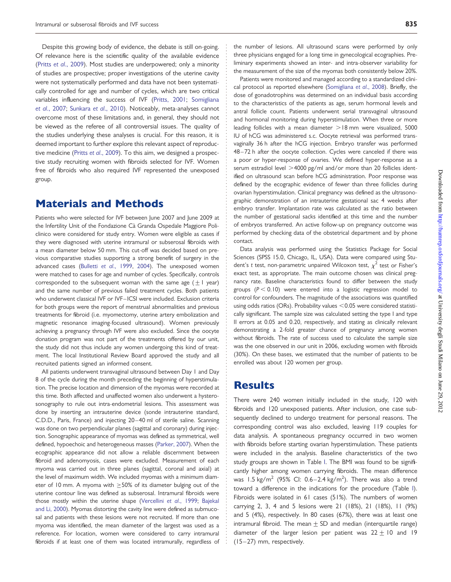Despite this growing body of evidence, the debate is still on-going. Of relevance here is the scientific quality of the available evidence (Pritts et al[., 2009\)](#page-5-0). Most studies are underpowered; only a minority of studies are prospective; proper investigations of the uterine cavity were not systematically performed and data have not been systematically controlled for age and number of cycles, which are two critical variables influencing the success of IVF ([Pritts, 2001;](#page-5-0) [Somigliana](#page-5-0) et al[., 2007;](#page-5-0) [Sunkara](#page-5-0) et al., 2010). Noticeably, meta-analyses cannot overcome most of these limitations and, in general, they should not be viewed as the referee of all controversial issues. The quality of the studies underlying these analyses is crucial. For this reason, it is deemed important to further explore this relevant aspect of reproductive medicine (Pritts et al[., 2009](#page-5-0)). To this aim, we designed a prospective study recruiting women with fibroids selected for IVF. Women free of fibroids who also required IVF represented the unexposed group.

## Materials and Methods

Patients who were selected for IVF between June 2007 and June 2009 at the Infertility Unit of the Fondazione Cà Granda Ospedale Maggiore Policlinico were considered for study entry. Women were eligible as cases if they were diagnosed with uterine intramural or subserosal fibroids with a mean diameter below 50 mm. This cut-off was decided based on previous comparative studies supporting a strong benefit of surgery in the advanced cases (Bulletti et al[., 1999,](#page-5-0) [2004](#page-5-0)). The unexposed women were matched to cases for age and number of cycles. Specifically, controls corresponded to the subsequent woman with the same age  $(\pm 1 \text{ year})$ and the same number of previous failed treatment cycles. Both patients who underwent classical IVF or IVF-ICSI were included. Exclusion criteria for both groups were the report of menstrual abnormalities and previous treatments for fibroid (i.e. myomectomy, uterine artery embolization and magnetic resonance imaging-focused ultrasound). Women previously achieving a pregnancy through IVF were also excluded. Since the oocyte donation program was not part of the treatments offered by our unit, the study did not thus include any women undergoing this kind of treatment. The local Institutional Review Board approved the study and all recruited patients signed an informed consent.

All patients underwent transvaginal ultrasound between Day 1 and Day 8 of the cycle during the month preceding the beginning of hyperstimulation. The precise location and dimension of the myomas were recorded at this time. Both affected and unaffected women also underwent a hysterosonography to rule out intra-endometrial lesions. This assessment was done by inserting an intrauterine device (sonde intrauterine standard, C.D.D., Paris, France) and injecting 20 – 40 ml of sterile saline. Scanning was done on two perpendicular planes (sagittal and coronary) during injection. Sonographic appearance of myomas was defined as symmetrical, well defined, hypoechoic and heterogeneous masses [\(Parker, 2007](#page-5-0)). When the ecographic appearance did not allow a reliable discernment between fibroid and adenomyosis, cases were excluded. Measurement of each myoma was carried out in three planes (sagittal, coronal and axial) at the level of maximum width. We included myomas with a minimum diameter of 10 mm. A myoma with  $\geq$ 50% of its diameter bulging out of the uterine contour line was defined as subserosal. Intramural fibroids were those mostly within the uterine shape ([Vercellini](#page-5-0) et al., 1999; [Bajekal](#page-5-0) [and Li, 2000\)](#page-5-0). Myomas distorting the cavity line were defined as submucosal and patients with these lesions were not recruited. If more than one myoma was identified, the mean diameter of the largest was used as a reference. For location, women were considered to carry intramural fibroids if at least one of them was located intramurally, regardless of the number of lesions. All ultrasound scans were performed by only three physicians engaged for a long time in gynecological ecographies. Preliminary experiments showed an inter- and intra-observer variability for the measurement of the size of the myomas both consistently below 20%.

Patients were monitored and managed according to a standardized clinical protocol as reported elsewhere ([Somigliana](#page-5-0) et al., 2008). Briefly, the dose of gonadotrophins was determined on an individual basis according to the characteristics of the patients as age, serum hormonal levels and antral follicle count. Patients underwent serial transvaginal ultrasound and hormonal monitoring during hyperstimulation. When three or more leading follicles with a mean diameter  $>18$  mm were visualized, 5000 IU of hCG was administered s.c. Oocyte retrieval was performed transvaginally 36 h after the hCG injection. Embryo transfer was performed 48-72 h after the oocyte collection. Cycles were canceled if there was a poor or hyper-response of ovaries. We defined hyper-response as a serum estradiol level >4000 pg/ml and/or more than 20 follicles identified on ultrasound scan before hCG administration. Poor response was defined by the ecographic evidence of fewer than three follicles during ovarian hyperstimulation. Clinical pregnancy was defined as the ultrasonographic demonstration of an intrauterine gestational sac 4 weeks after embryo transfer. Implantation rate was calculated as the ratio between the number of gestational sacks identified at this time and the number of embryos transferred. An active follow-up on pregnancy outcome was performed by checking data of the obstetrical department and by phone contact.

Data analysis was performed using the Statistics Package for Social Sciences (SPSS 15.0, Chicago, IL, USA). Data were compared using Student's t test, non-parametric unpaired Wilcoxon test,  $\chi^2$  test or Fisher's exact test, as appropriate. The main outcome chosen was clinical pregnancy rate. Baseline characteristics found to differ between the study groups ( $P < 0.10$ ) were entered into a logistic regression model to control for confounders. The magnitude of the associations was quantified using odds ratios (ORs). Probability values  $<$  0.05 were considered statistically significant. The sample size was calculated setting the type I and type II errors at 0.05 and 0.20, respectively, and stating as clinically relevant demonstrating a 2-fold greater chance of pregnancy among women without fibroids. The rate of success used to calculate the sample size was the one observed in our unit in 2006, excluding women with fibroids (30%). On these bases, we estimated that the number of patients to be enrolled was about 120 women per group.

#### **Results**

There were 240 women initially included in the study, 120 with fibroids and 120 unexposed patients. After inclusion, one case subsequently declined to undergo treatment for personal reasons. The corresponding control was also excluded, leaving 119 couples for data analysis. A spontaneous pregnancy occurred in two women with fibroids before starting ovarian hyperstimulation. These patients were included in the analysis. Baseline characteristics of the two study groups are shown in Table [I](#page-2-0). The BMI was found to be significantly higher among women carrying fibroids. The mean difference was 1.5 kg/m<sup>2</sup> (95% CI: 0.6–2.4 kg/m<sup>2</sup>). There was also a trend toward a difference in the indications for the procedure (Table [I\)](#page-2-0). Fibroids were isolated in 61 cases (51%). The numbers of women carrying 2, 3, 4 and 5 lesions were 21 (18%), 21 (18%), 11 (9%) and 5 (4%), respectively. In 80 cases (67%), there was at least one intramural fibroid. The mean  $+$  SD and median (interquartile range) diameter of the larger lesion per patient was  $22 \pm 10$  and 19 (15 –27) mm, respectively.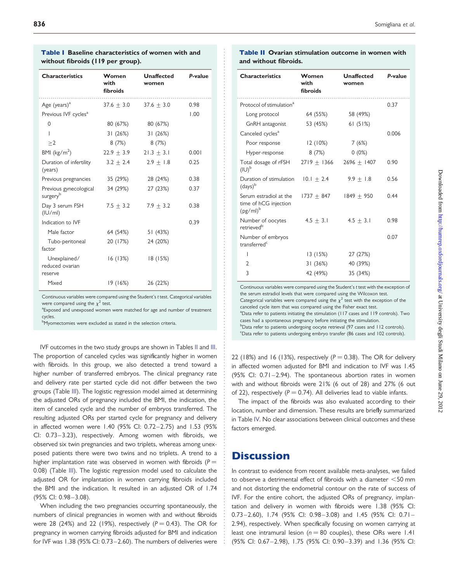| without fibroids (119 per group).              |                           |                            |         |  |  |  |
|------------------------------------------------|---------------------------|----------------------------|---------|--|--|--|
| <b>Characteristics</b>                         | Women<br>with<br>fibroids | <b>Unaffected</b><br>women | P-value |  |  |  |
| Age $(years)^a$                                |                           | $37.6 + 3.0$ $37.6 + 3.0$  | 0.98    |  |  |  |
| Previous IVF cycles <sup>a</sup>               |                           |                            | 1.00    |  |  |  |
| 0                                              | 80 (67%)                  | 80 (67%)                   |         |  |  |  |
| ı                                              | 31(26%)                   | 31(26%)                    |         |  |  |  |
| $\geq$ 2                                       | 8 (7%)                    | 8(7%)                      |         |  |  |  |
| BMI $(kg/m2)$                                  | $22.9 \pm 3.9$            | $21.3 \pm 3.1$             | 0.001   |  |  |  |
| Duration of infertility<br>(years)             | $3.2 \pm 2.4$             | $2.9 + 1.8$                | 0.25    |  |  |  |
| Previous pregnancies                           | 35 (29%)                  | 28 (24%)                   | 0.38    |  |  |  |
| Previous gynecological<br>surgery <sup>b</sup> | 34 (29%)                  | 27 (23%)                   | 0.37    |  |  |  |
| Day 3 serum FSH<br>( U/m )                     | $7.5 + 3.2$               | $7.9 + 3.2$                | 0.38    |  |  |  |
| Indication to IVF                              |                           |                            | 0.39    |  |  |  |
| Male factor                                    | 64 (54%)                  | 51 (43%)                   |         |  |  |  |
| Tubo-peritoneal<br>factor                      | 20 (17%)                  | 24 (20%)                   |         |  |  |  |
| Unexplained/<br>reduced ovarian<br>reserve     | 16(13%)                   | 18 (15%)                   |         |  |  |  |
| Mixed                                          | 19(16%)                   | 26 (22%)                   |         |  |  |  |

<span id="page-2-0"></span>Table I Baseline characteristics of women with and without fibroids (119 per group).

Continuous variables were compared using the Student's t test. Categorical variables were compared using the  $\chi^2$  test.

<sup>a</sup> Exposed and unexposed women were matched for age and number of treatment cycles.

**Myomectomies were excluded as stated in the selection criteria.** 

IVF outcomes in the two study groups are shown in Tables II and [III.](#page-3-0) The proportion of canceled cycles was significantly higher in women with fibroids. In this group, we also detected a trend toward a higher number of transferred embryos. The clinical pregnancy rate and delivery rate per started cycle did not differ between the two groups (Table [III\)](#page-3-0). The logistic regression model aimed at determining the adjusted ORs of pregnancy included the BMI, the indication, the item of canceled cycle and the number of embryos transferred. The resulting adjusted ORs per started cycle for pregnancy and delivery in affected women were 1.40 (95% CI: 0.72– 2.75) and 1.53 (95% CI: 0.73– 3.23), respectively. Among women with fibroids, we observed six twin pregnancies and two triplets, whereas among unexposed patients there were two twins and no triplets. A trend to a higher implantation rate was observed in women with fibroids ( $P =$ 0.08) (Table [III\)](#page-3-0). The logistic regression model used to calculate the adjusted OR for implantation in women carrying fibroids included the BMI and the indication. It resulted in an adjusted OR of 1.74 (95% CI: 0.98-3.08).

When including the two pregnancies occurring spontaneously, the numbers of clinical pregnancies in women with and without fibroids were 28 (24%) and 22 (19%), respectively ( $P = 0.43$ ). The OR for pregnancy in women carrying fibroids adjusted for BMI and indication for IVF was 1.38 (95% CI: 0.73 –2.60). The numbers of deliveries were

#### Table II Ovarian stimulation outcome in women with and without fibroids.

| <b>Characteristics</b>                                         | Women<br>with<br>fibroids | <b>Unaffected</b><br>women | P-value |
|----------------------------------------------------------------|---------------------------|----------------------------|---------|
| Protocol of stimulation <sup>a</sup>                           |                           |                            | 0.37    |
| Long protocol                                                  | 64 (55%)                  | 58 (49%)                   |         |
| GnRH antagonist                                                | 53 (45%)                  | 61(51%)                    |         |
| Canceled cycles <sup>a</sup>                                   |                           |                            | 0.006   |
| Poor response                                                  | 12(10%)                   | 7(6%)                      |         |
| Hyper-response                                                 | 8(7%)                     | $0(0\%)$                   |         |
| Total dosage of rFSH<br>${\sf (IU)}^{\sf b}$                   | $2719 \pm 1366$           | $2696 + 1407$              | 0.90    |
| Duration of stimulation<br>$\left(\text{days}\right)^b$        | $10.1 + 2.4$              | $9.9 + 1.8$                | 0.56    |
| Serum estradiol at the<br>time of hCG injection<br>$(pg/ml)^b$ | $1737 + 847$              | $1849 + 950$               | 0.44    |
| Number of oocytes<br>retrieved <sup>b</sup>                    | $4.5 + 3.1$               | $4.5 + 3.1$                | 0.98    |
| Number of embryos<br>transferred <sup>c</sup>                  |                           |                            | 0.07    |
| ı                                                              | 13(15%)                   | 27 (27%)                   |         |
| $\overline{2}$                                                 | 31(36%)                   | 40 (39%)                   |         |
| 3                                                              | 42 (49%)                  | 35 (34%)                   |         |

Continuous variables were compared using the Student's t test with the exception of the serum estradiol levels that were compared using the Wilcoxon test. Categorical variables were compared using the  $\chi^2$  test with the exception of the canceled cycle item that was compared using the Fisher exact test. <sup>a</sup>Data refer to patients initiating the stimulation (117 cases and 119 controls). Two cases had a spontaneous pregnancy before initiating the stimulation. <sup>b</sup>Data refer to patients undergoing oocyte retrieval (97 cases and 112 controls). <sup>c</sup>Data refer to patients undergoing embryo transfer (86 cases and 102 controls).

22 (18%) and 16 (13%), respectively ( $P = 0.38$ ). The OR for delivery in affected women adjusted for BMI and indication to IVF was 1.45 (95% CI: 0.71 –2.94). The spontaneous abortion rates in women with and without fibroids were 21% (6 out of 28) and 27% (6 out of 22), respectively ( $P = 0.74$ ). All deliveries lead to viable infants.

The impact of the fibroids was also evaluated according to their location, number and dimension. These results are briefly summarized in Table [IV](#page-3-0). No clear associations between clinical outcomes and these factors emerged.

## **Discussion**

In contrast to evidence from recent available meta-analyses, we failed to observe a detrimental effect of fibroids with a diameter  $<$  50 mm and not distorting the endometrial contour on the rate of success of IVF. For the entire cohort, the adjusted ORs of pregnancy, implantation and delivery in women with fibroids were 1.38 (95% CI: 0.73 - 2.60), 1.74 (95% CI: 0.98 - 3.08) and 1.45 (95% CI: 0.71 -2.94), respectively. When specifically focusing on women carrying at least one intramural lesion ( $n = 80$  couples), these ORs were 1.41 (95% CI: 0.67 –2.98), 1.75 (95% CI: 0.90 –3.39) and 1.36 (95% CI: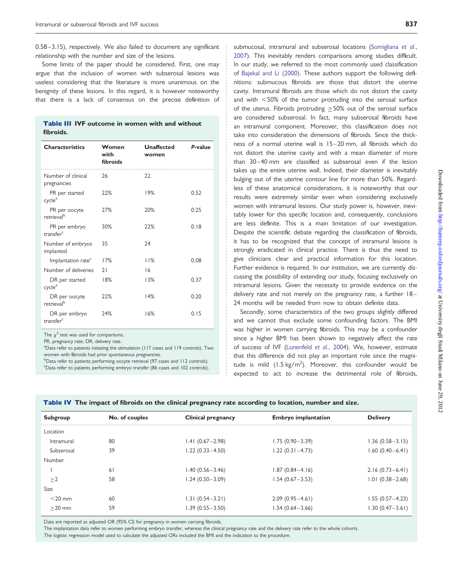<span id="page-3-0"></span>0.58 –3.15), respectively. We also failed to document any significant relationship with the number and size of the lesions.

Some limits of the paper should be considered. First, one may argue that the inclusion of women with subserosal lesions was useless considering that the literature is more unanimous on the benignity of these lesions. In this regard, it is however noteworthy that there is a lack of consensus on the precise definition of

|           | <b>Table III IVF</b> outcome in women with and without |  |  |
|-----------|--------------------------------------------------------|--|--|
| fibroids. |                                                        |  |  |

| <b>Characteristics</b>                  | Women<br>with<br>fibroids | <b>Unaffected</b><br>women | P-value |
|-----------------------------------------|---------------------------|----------------------------|---------|
| Number of clinical<br>pregnancies       | 26                        | 22                         |         |
| PR per started<br>cycle <sup>a</sup>    | 22%                       | 19%                        | 0.52    |
| PR per oocyte<br>retrieval <sup>b</sup> | 27%                       | 20%                        | 0.25    |
| PR per embryo<br>transfer <sup>c</sup>  | 30%                       | 22%                        | 0.18    |
| Number of embryos<br>implanted          | 35                        | 24                         |         |
| Implantation rate <sup>c</sup>          | 17%                       | 11%                        | 0.08    |
| Number of deliveries                    | 21                        | 16                         |         |
| DR per started<br>cycle <sup>a</sup>    | 18%                       | 13%                        | 0.37    |
| DR per oocyte<br>retrieval <sup>b</sup> | 22%                       | 14%                        | 0.20    |
| DR per embryo<br>transferc              | 24%                       | 16%                        | 0.15    |

The  $\chi^2$  test was used for comparisons.

PR, pregnancy rate; DR, delivery rate.

<sup>a</sup>Data refer to patients initiating the stimulation (117 cases and 119 controls). Two women with fibroids had prior spontaneous pregnancies.

<sup>b</sup>Data refer to patients performing oocyte retrieval (97 cases and 112 controls). <sup>c</sup>Data refer to patients performing embryo transfer (86 cases and 102 controls).

submucosal, intramural and subserosal locations [\(Somigliana](#page-5-0) et al., [2007](#page-5-0)). This inevitably renders comparisons among studies difficult. In our study, we referred to the most commonly used classification of [Bajekal and Li \(2000\).](#page-5-0) These authors support the following definitions: submucous fibroids are those that distort the uterine cavity. Intramural fibroids are those which do not distort the cavity and with  $<$  50% of the tumor protruding into the serosal surface of the uterus. Fibroids protruding  $\geq$  50% out of the serosal surface are considered subserosal. In fact, many subserosal fibroids have an intramural component. Moreover, this classification does not take into consideration the dimensions of fibroids. Since the thickness of a normal uterine wall is 15– 20 mm, all fibroids which do not distort the uterine cavity and with a mean diameter of more than 30– 40 mm are classified as subserosal even if the lesion takes up the entire uterine wall. Indeed, their diameter is inevitably bulging out of the uterine contour line for more than 50%. Regardless of these anatomical considerations, it is noteworthy that our results were extremely similar even when considering exclusively women with intramural lesions. Our study power is, however, inevitably lower for this specific location and, consequently, conclusions are less definite. This is a main limitation of our investigation. Despite the scientific debate regarding the classification of fibroids, it has to be recognized that the concept of intramural lesions is strongly eradicated in clinical practice. There is thus the need to give clinicians clear and practical information for this location. Further evidence is required. In our institution, we are currently discussing the possibility of extending our study, focusing exclusively on intramural lesions. Given the necessity to provide evidence on the delivery rate and not merely on the pregnancy rate, a further 18 – 24 months will be needed from now to obtain definite data.

Secondly, some characteristics of the two groups slightly differed and we cannot thus exclude some confounding factors. The BMI was higher in women carrying fibroids. This may be a confounder since a higher BMI has been shown to negatively affect the rate of success of IVF ([Lunenfeld](#page-5-0) et al., 2004). We, however, estimate that this difference did not play an important role since the magnitude is mild  $(1.5 \text{ kg/m}^2)$ . Moreover, this confounder would be expected to act to increase the detrimental role of fibroids,

|  |  | Table IV The impact of fibroids on the clinical pregnancy rate according to location, number and size. |  |  |  |  |  |  |  |
|--|--|--------------------------------------------------------------------------------------------------------|--|--|--|--|--|--|--|
|--|--|--------------------------------------------------------------------------------------------------------|--|--|--|--|--|--|--|

| Subgroup   | No. of couples | <b>Clinical pregnancy</b> | <b>Embryo implantation</b> | <b>Delivery</b>     |
|------------|----------------|---------------------------|----------------------------|---------------------|
| Location   |                |                           |                            |                     |
| Intramural | 80             | $1.41(0.67 - 2.98)$       | $1.75(0.90 - 3.39)$        | $1.36(0.58 - 3.15)$ |
| Subserosal | 39             | $1.22(0.33 - 4.50)$       | $1.22(0.31 - 4.73)$        | $1.60(0.40 - 6.41)$ |
| Number     |                |                           |                            |                     |
|            | 61             | $1.40(0.56 - 3.46)$       | $1.87(0.84 - 4.16)$        | $2.16(0.73 - 6.41)$ |
| $\geq$ 2   | 58             | $1.24(0.50 - 3.09)$       | $1.54(0.67 - 3.53)$        | $1.01(0.38 - 2.68)$ |
| Size       |                |                           |                            |                     |
| $<$ 20 mm  | 60             | $1.31(0.54 - 3.21)$       | $2.09(0.95 - 4.61)$        | $1.55(0.57 - 4.23)$ |
| $>20$ mm   | 59             | $1.39(0.55 - 3.50)$       | $1.54(0.64 - 3.66)$        | $1.30(0.47 - 3.61)$ |

Data are reported as adjusted OR (95% CI) for pregnancy in women carrying fibroids.

The implantation data refer to women performing embryo transfer, whereas the clinical pregnancy rate and the delivery rate refer to the whole cohorts.

The logistic regression model used to calculate the adjusted ORs included the BMI and the indication to the procedure.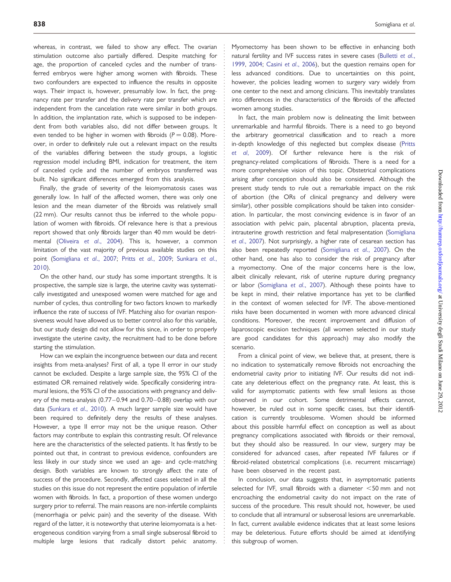whereas, in contrast, we failed to show any effect. The ovarian stimulation outcome also partially differed. Despite matching for age, the proportion of canceled cycles and the number of transferred embryos were higher among women with fibroids. These two confounders are expected to influence the results in opposite ways. Their impact is, however, presumably low. In fact, the pregnancy rate per transfer and the delivery rate per transfer which are independent from the cancelation rate were similar in both groups. In addition, the implantation rate, which is supposed to be independent from both variables also, did not differ between groups. It even tended to be higher in women with fibroids ( $P = 0.08$ ). Moreover, in order to definitely rule out a relevant impact on the results of the variables differing between the study groups, a logistic regression model including BMI, indication for treatment, the item of canceled cycle and the number of embryos transferred was built. No significant differences emerged from this analysis.

Finally, the grade of severity of the leiomyomatosis cases was generally low. In half of the affected women, there was only one lesion and the mean diameter of the fibroids was relatively small (22 mm). Our results cannot thus be inferred to the whole population of women with fibroids. Of relevance here is that a previous report showed that only fibroids larger than 40 mm would be detrimental (Oliveira et al[., 2004](#page-5-0)). This is, however, a common limitation of the vast majority of previous available studies on this point ([Somigliana](#page-5-0) et al., 2007; Pritts et al[., 2009](#page-5-0); [Sunkara](#page-5-0) et al., [2010](#page-5-0)).

On the other hand, our study has some important strengths. It is prospective, the sample size is large, the uterine cavity was systematically investigated and unexposed women were matched for age and number of cycles, thus controlling for two factors known to markedly influence the rate of success of IVF. Matching also for ovarian responsiveness would have allowed us to better control also for this variable, but our study design did not allow for this since, in order to properly investigate the uterine cavity, the recruitment had to be done before starting the stimulation.

How can we explain the incongruence between our data and recent insights from meta-analyses? First of all, a type II error in our study cannot be excluded. Despite a large sample size, the 95% CI of the estimated OR remained relatively wide. Specifically considering intramural lesions, the 95% CI of the associations with pregnancy and delivery of the meta-analysis (0.77-0.94 and 0.70-0.88) overlap with our data [\(Sunkara](#page-5-0) et al., 2010). A much larger sample size would have been required to definitely deny the results of these analyses. However, a type II error may not be the unique reason. Other factors may contribute to explain this contrasting result. Of relevance here are the characteristics of the selected patients. It has firstly to be pointed out that, in contrast to previous evidence, confounders are less likely in our study since we used an age- and cycle-matching design. Both variables are known to strongly affect the rate of success of the procedure. Secondly, affected cases selected in all the studies on this issue do not represent the entire population of infertile women with fibroids. In fact, a proportion of these women undergo surgery prior to referral. The main reasons are non-infertile complaints (menorrhagia or pelvic pain) and the severity of the disease. With regard of the latter, it is noteworthy that uterine leiomyomata is a heterogeneous condition varying from a small single subserosal fibroid to multiple large lesions that radically distort pelvic anatomy.

Myomectomy has been shown to be effective in enhancing both natural fertility and IVF success rates in severe cases ([Bulletti](#page-5-0) et al., [1999,](#page-5-0) [2004](#page-5-0); Casini et al[., 2006](#page-5-0)), but the question remains open for less advanced conditions. Due to uncertainties on this point, however, the policies leading women to surgery vary widely from one center to the next and among clinicians. This inevitably translates into differences in the characteristics of the fibroids of the affected women among studies.

In fact, the main problem now is delineating the limit between unremarkable and harmful fibroids. There is a need to go beyond the arbitrary geometrical classification and to reach a more in-depth knowledge of this neglected but complex disease [\(Pritts](#page-5-0) et al[, 2009\)](#page-5-0). Of further relevance here is the risk of pregnancy-related complications of fibroids. There is a need for a more comprehensive vision of this topic. Obstetrical complications arising after conception should also be considered. Although the present study tends to rule out a remarkable impact on the risk of abortion (the ORs of clinical pregnancy and delivery were similar), other possible complications should be taken into consideration. In particular, the most convincing evidence is in favor of an association with pelvic pain, placental abruption, placenta previa, intrauterine growth restriction and fetal malpresentation ([Somigliana](#page-5-0) et al[., 2007](#page-5-0)). Not surprisingly, a higher rate of cesarean section has also been repeatedly reported ([Somigliana](#page-5-0) et al., 2007). On the other hand, one has also to consider the risk of pregnancy after a myomectomy. One of the major concerns here is the low, albeit clinically relevant, risk of uterine rupture during pregnancy or labor [\(Somigliana](#page-5-0) et al., 2007). Although these points have to be kept in mind, their relative importance has yet to be clarified in the context of women selected for IVF. The above-mentioned risks have been documented in women with more advanced clinical conditions. Moreover, the recent improvement and diffusion of laparoscopic excision techniques (all women selected in our study are good candidates for this approach) may also modify the scenario.

From a clinical point of view, we believe that, at present, there is no indication to systematically remove fibroids not encroaching the endometrial cavity prior to initiating IVF. Our results did not indicate any deleterious effect on the pregnancy rate. At least, this is valid for asymptomatic patients with few small lesions as those observed in our cohort. Some detrimental effects cannot, however, be ruled out in some specific cases, but their identification is currently troublesome. Women should be informed about this possible harmful effect on conception as well as about pregnancy complications associated with fibroids or their removal, but they should also be reassured. In our view, surgery may be considered for advanced cases, after repeated IVF failures or if fibroid-related obstetrical complications (i.e. recurrent miscarriage) have been observed in the recent past.

In conclusion, our data suggests that, in asymptomatic patients selected for IVF, small fibroids with a diameter  $<$  50 mm and not encroaching the endometrial cavity do not impact on the rate of success of the procedure. This result should not, however, be used to conclude that all intramural or subserosal lesions are unremarkable. In fact, current available evidence indicates that at least some lesions may be deleterious. Future efforts should be aimed at identifying this subgroup of women.